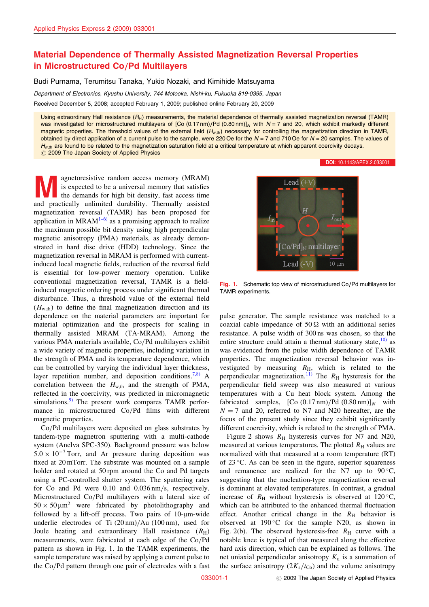## Material Dependence of Thermally Assisted Magnetization Reversal Properties in Microstructured Co/Pd Multilayers

Budi Purnama, Terumitsu Tanaka, Yukio Nozaki, and Kimihide Matsuyama

Department of Electronics, Kyushu University, 744 Motooka, Nishi-ku, Fukuoka 819-0395, Japan

Received December 5, 2008; accepted February 1, 2009; published online February 20, 2009

Using extraordinary Hall resistance  $(R_H)$  measurements, the material dependence of thermally assisted magnetization reversal (TAMR) was investigated for microstructured multilayers of [Co (0.17 nm)/Pd (0.80 nm)]<sub>N</sub> with  $N = 7$  and 20, which exhibit markedly different magnetic properties. The threshold values of the external field  $(H_{w,th})$  necessary for controlling the magnetization direction in TAMR, obtained by direct application of a current pulse to the sample, were 220 Oe for the  $N = 7$  and 710 Oe for  $N = 20$  samples. The values of  $H_{w,th}$  are found to be related to the magnetization saturation field at a critical temperature at which apparent coercivity decays.  $\oslash$  2009 The Japan Society of Applied Physics

[DOI:](http://dx.doi.org/10.1143/APEX.2.033001) [10.1143/APEX.2.033001](http://dx.doi.org/10.1143/APEX.2.033001)

**Agnetoresistive random access memory (MRAM)**<br>is expected to be a universal memory that satisfies<br>the demands for high bit density, fast access time<br>and practically unlimited durability. Thermally assisted is expected to be a universal memory that satisfies the demands for high bit density, fast access time and practically unlimited durability. Thermally assisted magnetization reversal (TAMR) has been proposed for application in  $MRAM^{1-6}$  as a promising approach to realize the maximum possible bit density using high perpendicular magnetic anisotropy (PMA) materials, as already demonstrated in hard disc drive (HDD) technology. Since the magnetization reversal in MRAM is performed with currentinduced local magnetic fields, reduction of the reversal field is essential for low-power memory operation. Unlike conventional magnetization reversal, TAMR is a fieldinduced magnetic ordering process under significant thermal disturbance. Thus, a threshold value of the external field  $(H<sub>w.th</sub>)$  to define the final magnetization direction and its dependence on the material parameters are important for material optimization and the prospects for scaling in thermally assisted MRAM (TA-MRAM). Among the various PMA materials available, Co/Pd multilayers exhibit a wide variety of magnetic properties, including variation in the strength of PMA and its temperature dependence, which can be controlled by varying the individual layer thickness, layer repetition number, and deposition conditions.<sup>[7,8\)](#page-2-0)</sup> A correlation between the  $H_{w,th}$  and the strength of PMA, reflected in the coercivity, was predicted in micromagnetic simulations. $9$  The present work compares TAMR performance in microstructured Co/Pd films with different magnetic properties.

Co/Pd multilayers were deposited on glass substrates by tandem-type magnetron sputtering with a multi-cathode system (Anelva SPC-350). Background pressure was below  $5.0 \times 10^{-7}$  Torr, and Ar pressure during deposition was fixed at 20 mTorr. The substrate was mounted on a sample holder and rotated at 50 rpm around the Co and Pd targets using a PC-controlled shutter system. The sputtering rates for Co and Pd were 0.10 and 0.036 nm/s, respectively. Microstructured Co/Pd multilayers with a lateral size of  $50 \times 50 \,\mu\text{m}^2$  were fabricated by photolithography and followed by a lift-off process. Two pairs of  $10$ - $\mu$ m-wide underlie electrodes of Ti (20 nm)/Au (100 nm), used for Joule heating and extraordinary Hall resistance  $(R_H)$ measurements, were fabricated at each edge of the Co/Pd pattern as shown in Fig. 1. In the TAMR experiments, the sample temperature was raised by applying a current pulse to the Co/Pd pattern through one pair of electrodes with a fast



Fig. 1. Schematic top view of microstructured Co/Pd multilayers for TAMR experiments.

pulse generator. The sample resistance was matched to a coaxial cable impedance of  $50 \Omega$  with an additional series resistance. A pulse width of 300 ns was chosen, so that the entire structure could attain a thermal stationary state,  $\frac{10}{10}$  as was evidenced from the pulse width dependence of TAMR properties. The magnetization reversal behavior was investigated by measuring  $R_{\text{H}}$ , which is related to the perpendicular magnetization.<sup>[11\)](#page-2-0)</sup> The  $R_H$  hysteresis for the perpendicular field sweep was also measured at various temperatures with a Cu heat block system. Among the fabricated samples,  $[Co (0.17 nm)/Pd (0.80 nm)]_N$  with  $N = 7$  and 20, referred to N7 and N20 hereafter, are the focus of the present study since they exhibit significantly different coercivity, which is related to the strength of PMA.

Figure 2 shows  $R_H$  hysteresis curves for N7 and N20, measured at various temperatures. The plotted  $R_H$  values are normalized with that measured at a room temperature (RT) of  $23^{\circ}$ C. As can be seen in the figure, superior squareness and remanence are realized for the N7 up to  $90^{\circ}$ C, suggesting that the nucleation-type magnetization reversal is dominant at elevated temperatures. In contrast, a gradual increase of  $R_H$  without hysteresis is observed at 120 °C, which can be attributed to the enhanced thermal fluctuation effect. Another critical change in the  $R_H$  behavior is observed at  $190^{\circ}$ C for the sample N20, as shown in Fig. 2(b). The observed hysteresis-free  $R<sub>H</sub>$  curve with a notable knee is typical of that measured along the effective hard axis direction, which can be explained as follows. The net uniaxial perpendicular anisotropy  $K_{\text{u}}$  is a summation of the surface anisotropy  $(2K<sub>s</sub>/t<sub>Co</sub>)$  and the volume anisotropy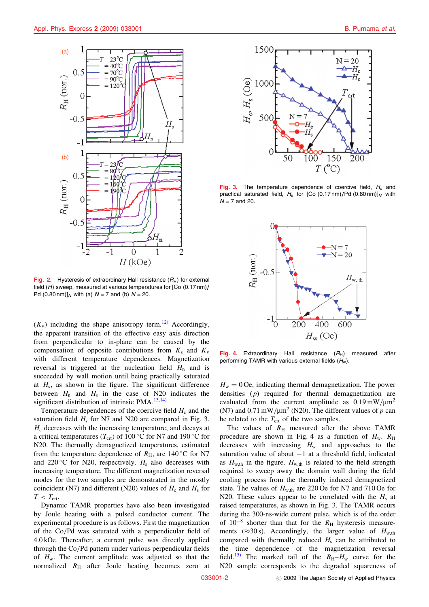

Fig. 2. Hysteresis of extraordinary Hall resistance  $(R_H)$  for external field (H) sweep, measured at various temperatures for [Co (0.17 nm)/ Pd  $(0.80 \text{ nm})$ ]<sub>N</sub> with (a)  $N = 7$  and (b)  $N = 20$ .

 $(K_v)$  including the shape anisotropy term.<sup>[12\)](#page-2-0)</sup> Accordingly, the apparent transition of the effective easy axis direction from perpendicular to in-plane can be caused by the compensation of opposite contributions from  $K_s$  and  $K_v$ with different temperature dependences. Magnetization reversal is triggered at the nucleation field  $H_n$  and is succeeded by wall motion until being practically saturated at  $H_s$ , as shown in the figure. The significant difference between  $H_n$  and  $H_s$  in the case of N20 indicates the significant distribution of intrinsic PMA. $^{13,14)}$  $^{13,14)}$  $^{13,14)}$ 

Temperature dependences of the coercive field  $H_c$  and the saturation field  $H<sub>s</sub>$  for N7 and N20 are compared in Fig. 3.  $H<sub>c</sub>$  decreases with the increasing temperature, and decays at a critical temperatures ( $T_{\text{crt}}$ ) of 100 °C for N7 and 190 °C for N20. The thermally demagnetized temperatures, estimated from the temperature dependence of  $R_H$ , are 140 °C for N7 and 220 °C for N20, respectively.  $H_s$  also decreases with increasing temperature. The different magnetization reversal modes for the two samples are demonstrated in the mostly coincident (N7) and different (N20) values of  $H_c$  and  $H_s$  for  $T < T_{\text{crt}}$ .

Dynamic TAMR properties have also been investigated by Joule heating with a pulsed conductor current. The experimental procedure is as follows. First the magnetization of the Co/Pd was saturated with a perpendicular field of 4.0 kOe. Thereafter, a current pulse was directly applied through the Co/Pd pattern under various perpendicular fields of  $H_w$ . The current amplitude was adjusted so that the normalized  $R<sub>H</sub>$  after Joule heating becomes zero at



Fig. 3. The temperature dependence of coercive field,  $H_c$  and practical saturated field,  $H_s$  for [Co (0.17 nm)/Pd (0.80 nm)]<sub>N</sub> with  $N = 7$  and 20.



Fig. 4. Extraordinary Hall resistance  $(R_H)$  measured after performing TAMR with various external fields  $(H_w)$ .

 $H_w = 0$  Oe, indicating thermal demagnetization. The power densities (p) required for thermal demagnetization are evaluated from the current amplitude as  $0.19 \text{ mW/m}^2$ (N7) and 0.71 mW/ $\mu$ m<sup>2</sup> (N20). The different values of p can be related to the  $T_{\text{crt}}$  of the two samples.

The values of  $R<sub>H</sub>$  measured after the above TAMR procedure are shown in Fig. 4 as a function of  $H_w$ .  $R_H$ decreases with increasing  $H_w$  and approaches to the saturation value of about  $-1$  at a threshold field, indicated as  $H_{\text{w,th}}$  in the figure.  $H_{\text{w,th}}$  is related to the field strength required to sweep away the domain wall during the field cooling process from the thermally induced demagnetized state. The values of  $H_{w,th}$  are 220 Oe for N7 and 710 Oe for N20. These values appear to be correlated with the  $H<sub>s</sub>$  at raised temperatures, as shown in Fig. 3. The TAMR occurs during the 300-ns-wide current pulse, which is of the order of  $10^{-8}$  shorter than that for the  $R_H$  hysteresis measurements ( $\approx$ 30 s). Accordingly, the larger value of  $H_{\text{w,th}}$ compared with thermally reduced  $H_s$  can be attributed to the time dependence of the magnetization reversal field.<sup>[15\)](#page-2-0)</sup> The marked tail of the  $R_H$ – $H_w$  curve for the N20 sample corresponds to the degraded squareness of